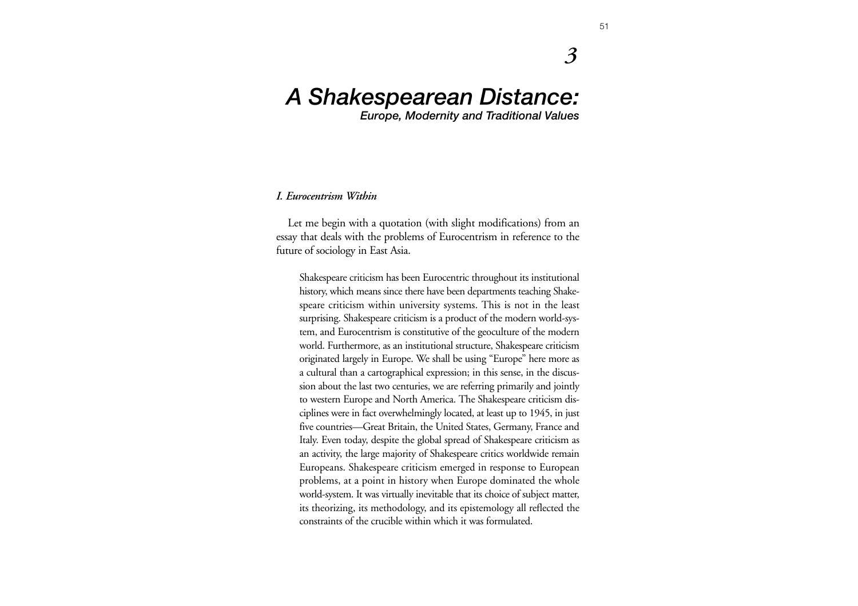# *A Shakespearean Distance:*

*Europe, Modernity and Traditional Values*

#### *I. Eurocentrism Within*

Let me begin with a quotation (with slight modifications) from an essay that deals with the problems of Eurocentrism in reference to the future of sociology in East Asia.

Shakespeare criticism has been Eurocentric throughout its institutional history, which means since there have been departments teaching Shakespeare criticism within university systems. This is not in the least surprising. Shakespeare criticism is a product of the modern world-system, and Eurocentrism is constitutive of the geoculture of the modern world. Furthermore, as an institutional structure, Shakespeare criticism originated largely in Europe. We shall be using "Europe" here more as a cultural than a cartographical expression; in this sense, in the discussion about the last two centuries, we are referring primarily and jointly to western Europe and North America. The Shakespeare criticism disciplines were in fact overwhelmingly located, at least up to 1945, in just five countries—Great Britain, the United States, Germany, France and Italy. Even today, despite the global spread of Shakespeare criticism as an activity, the large majority of Shakespeare critics worldwide remain Europeans. Shakespeare criticism emerged in response to European problems, at a point in history when Europe dominated the whole world-system. It was virtually inevitable that its choice of subject matter, its theorizing, its methodology, and its epistemology all reflected the constraints of the crucible within which it was formulated.

*3*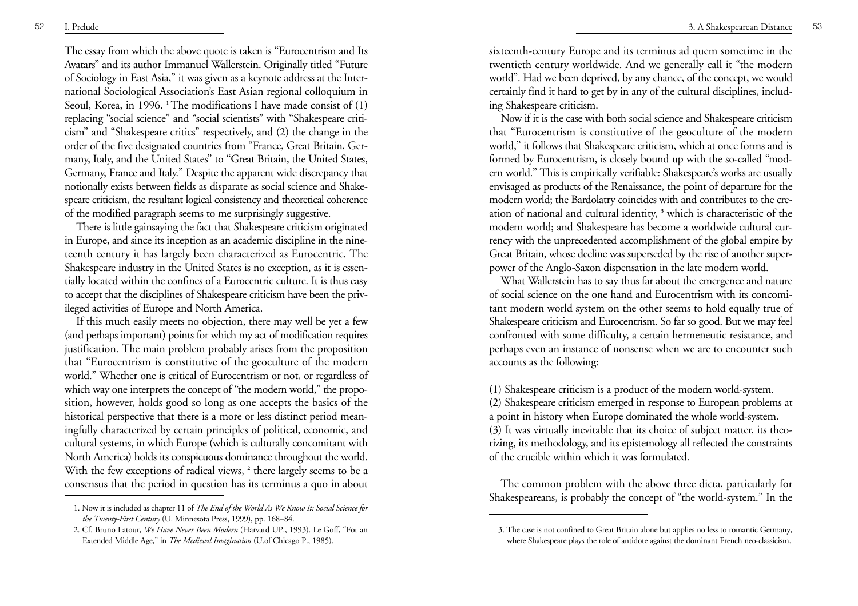The essay from which the above quote is taken is "Eurocentrism and Its Avatars" and its author Immanuel Wallerstein. Originally titled "Future of Sociology in East Asia," it was given as a keynote address at the International Sociological Association's East Asian regional colloquium in Seoul, Korea, in 1996. <sup>1</sup>The modifications I have made consist of (1) replacing "social science" and "social scientists" with "Shakespeare criticism" and "Shakespeare critics" respectively, and (2) the change in the order of the five designated countries from "France, Great Britain, Germany, Italy, and the United States" to "Great Britain, the United States, Germany, France and Italy." Despite the apparent wide discrepancy that notionally exists between fields as disparate as social science and Shakespeare criticism, the resultant logical consistency and theoretical coherence of the modified paragraph seems to me surprisingly suggestive.

There is little gainsaying the fact that Shakespeare criticism originated in Europe, and since its inception as an academic discipline in the nineteenth century it has largely been characterized as Eurocentric. The Shakespeare industry in the United States is no exception, as it is essentially located within the confines of a Eurocentric culture. It is thus easy to accept that the disciplines of Shakespeare criticism have been the privileged activities of Europe and North America.

If this much easily meets no objection, there may well be yet a few (and perhaps important) points for which my act of modification requires justification. The main problem probably arises from the proposition that "Eurocentrism is constitutive of the geoculture of the modern world." Whether one is critical of Eurocentrism or not, or regardless of which way one interprets the concept of "the modern world," the proposition, however, holds good so long as one accepts the basics of the historical perspective that there is a more or less distinct period meaningfully characterized by certain principles of political, economic, and cultural systems, in which Europe (which is culturally concomitant with North America) holds its conspicuous dominance throughout the world. With the few exceptions of radical views, <sup>2</sup> there largely seems to be a consensus that the period in question has its terminus a quo in about

sixteenth-century Europe and its terminus ad quem sometime in the twentieth century worldwide. And we generally call it "the modern world". Had we been deprived, by any chance, of the concept, we would certainly find it hard to get by in any of the cultural disciplines, including Shakespeare criticism.

Now if it is the case with both social science and Shakespeare criticism that "Eurocentrism is constitutive of the geoculture of the modern world," it follows that Shakespeare criticism, which at once forms and is formed by Eurocentrism, is closely bound up with the so-called "modern world." This is empirically verifiable: Shakespeare's works are usually envisaged as products of the Renaissance, the point of departure for the modern world; the Bardolatry coincides with and contributes to the creation of national and cultural identity, **<sup>3</sup>** which is characteristic of the modern world; and Shakespeare has become a worldwide cultural currency with the unprecedented accomplishment of the global empire by Great Britain, whose decline was superseded by the rise of another superpower of the Anglo-Saxon dispensation in the late modern world.

What Wallerstein has to say thus far about the emergence and nature of social science on the one hand and Eurocentrism with its concomitant modern world system on the other seems to hold equally true of Shakespeare criticism and Eurocentrism. So far so good. But we may feel confronted with some difficulty, a certain hermeneutic resistance, and perhaps even an instance of nonsense when we are to encounter such accounts as the following:

(1) Shakespeare criticism is a product of the modern world-system. (2) Shakespeare criticism emerged in response to European problems at a point in history when Europe dominated the whole world-system. (3) It was virtually inevitable that its choice of subject matter, its theorizing, its methodology, and its epistemology all reflected the constraints of the crucible within which it was formulated.

The common problem with the above three dicta, particularly for Shakespeareans, is probably the concept of "the world-system." In the

<sup>1.</sup> Now it is included as chapter 11 of *The End of the World As We Know It: Social Science for the Twenty-First Century* (U. Minnesota Press, 1999), pp. 168–84.

<sup>2.</sup> Cf. Bruno Latour, *We Have Never Been Modern* (Harvard UP., 1993). Le Goff, "For an Extended Middle Age," in *The Medieval Imagination* (U.of Chicago P., 1985).

<sup>3.</sup> The case is not confined to Great Britain alone but applies no less to romantic Germany, where Shakespeare plays the role of antidote against the dominant French neo-classicism.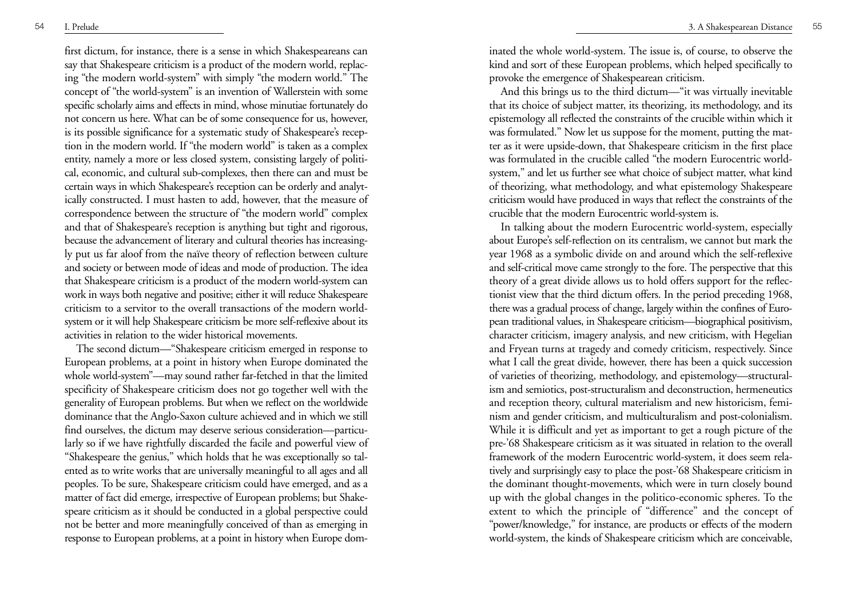first dictum, for instance, there is a sense in which Shakespeareans can say that Shakespeare criticism is a product of the modern world, replacing "the modern world-system" with simply "the modern world." The concept of "the world-system" is an invention of Wallerstein with some specific scholarly aims and effects in mind, whose minutiae fortunately do not concern us here. What can be of some consequence for us, however, is its possible significance for a systematic study of Shakespeare's reception in the modern world. If "the modern world" is taken as a complex entity, namely a more or less closed system, consisting largely of political, economic, and cultural sub-complexes, then there can and must be certain ways in which Shakespeare's reception can be orderly and analytically constructed. I must hasten to add, however, that the measure of correspondence between the structure of "the modern world" complex and that of Shakespeare's reception is anything but tight and rigorous, because the advancement of literary and cultural theories has increasingly put us far aloof from the naïve theory of reflection between culture and society or between mode of ideas and mode of production. The idea that Shakespeare criticism is a product of the modern world-system can work in ways both negative and positive; either it will reduce Shakespeare criticism to a servitor to the overall transactions of the modern worldsystem or it will help Shakespeare criticism be more self-reflexive about its activities in relation to the wider historical movements.

The second dictum—"Shakespeare criticism emerged in response to European problems, at a point in history when Europe dominated the whole world-system"—may sound rather far-fetched in that the limited specificity of Shakespeare criticism does not go together well with the generality of European problems. But when we reflect on the worldwide dominance that the Anglo-Saxon culture achieved and in which we still find ourselves, the dictum may deserve serious consideration—particularly so if we have rightfully discarded the facile and powerful view of "Shakespeare the genius," which holds that he was exceptionally so talented as to write works that are universally meaningful to all ages and all peoples. To be sure, Shakespeare criticism could have emerged, and as a matter of fact did emerge, irrespective of European problems; but Shakespeare criticism as it should be conducted in a global perspective could not be better and more meaningfully conceived of than as emerging in response to European problems, at a point in history when Europe dominated the whole world-system. The issue is, of course, to observe the kind and sort of these European problems, which helped specifically to provoke the emergence of Shakespearean criticism.

And this brings us to the third dictum—"it was virtually inevitable that its choice of subject matter, its theorizing, its methodology, and its epistemology all reflected the constraints of the crucible within which it was formulated." Now let us suppose for the moment, putting the matter as it were upside-down, that Shakespeare criticism in the first place was formulated in the crucible called "the modern Eurocentric worldsystem," and let us further see what choice of subject matter, what kind of theorizing, what methodology, and what epistemology Shakespeare criticism would have produced in ways that reflect the constraints of the crucible that the modern Eurocentric world-system is.

In talking about the modern Eurocentric world-system, especially about Europe's self-reflection on its centralism, we cannot but mark the year 1968 as a symbolic divide on and around which the self-reflexive and self-critical move came strongly to the fore. The perspective that this theory of a great divide allows us to hold offers support for the reflectionist view that the third dictum offers. In the period preceding 1968, there was a gradual process of change, largely within the confines of European traditional values, in Shakespeare criticism—biographical positivism, character criticism, imagery analysis, and new criticism, with Hegelian and Fryean turns at tragedy and comedy criticism, respectively. Since what I call the great divide, however, there has been a quick succession of varieties of theorizing, methodology, and epistemology—structuralism and semiotics, post-structuralism and deconstruction, hermeneutics and reception theory, cultural materialism and new historicism, feminism and gender criticism, and multiculturalism and post-colonialism. While it is difficult and yet as important to get a rough picture of the pre-'68 Shakespeare criticism as it was situated in relation to the overall framework of the modern Eurocentric world-system, it does seem relatively and surprisingly easy to place the post-'68 Shakespeare criticism in the dominant thought-movements, which were in turn closely bound up with the global changes in the politico-economic spheres. To the extent to which the principle of "difference" and the concept of "power/knowledge," for instance, are products or effects of the modern world-system, the kinds of Shakespeare criticism which are conceivable,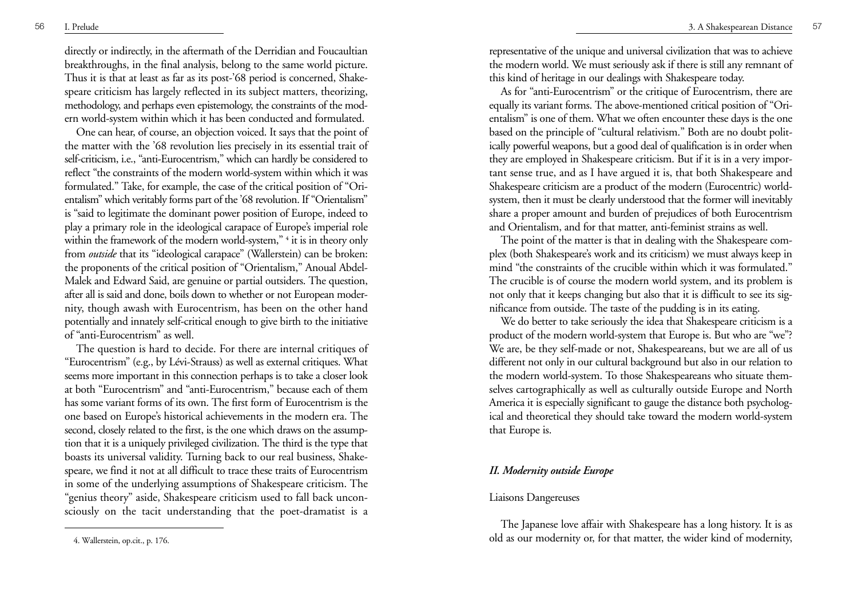directly or indirectly, in the aftermath of the Derridian and Foucaultian breakthroughs, in the final analysis, belong to the same world picture. Thus it is that at least as far as its post-'68 period is concerned, Shakespeare criticism has largely reflected in its subject matters, theorizing, methodology, and perhaps even epistemology, the constraints of the modern world-system within which it has been conducted and formulated.

One can hear, of course, an objection voiced. It says that the point of the matter with the '68 revolution lies precisely in its essential trait of self-criticism, i.e., "anti-Eurocentrism," which can hardly be considered to reflect "the constraints of the modern world-system within which it was formulated." Take, for example, the case of the critical position of "Orientalism" which veritably forms part of the '68 revolution. If "Orientalism" is "said to legitimate the dominant power position of Europe, indeed to <sup>p</sup>lay a primary role in the ideological carapace of Europe's imperial role within the framework of the modern world-system,"<sup>4</sup> it is in theory only from *outside* that its "ideological carapace" (Wallerstein) can be broken: the proponents of the critical position of "Orientalism," Anoual Abdel-Malek and Edward Said, are genuine or partial outsiders. The question, after all is said and done, boils down to whether or not European modernity, though awash with Eurocentrism, has been on the other hand potentially and innately self-critical enough to give birth to the initiative of "anti-Eurocentrism" as well.

The question is hard to decide. For there are internal critiques of "Eurocentrism" (e.g., by Lévi-Strauss) as well as external critiques. What seems more important in this connection perhaps is to take a closer look at both "Eurocentrism" and "anti-Eurocentrism," because each of them has some variant forms of its own. The first form of Eurocentrism is the one based on Europe's historical achievements in the modern era. The second, closely related to the first, is the one which draws on the assumption that it is a uniquely privileged civilization. The third is the type that boasts its universal validity. Turning back to our real business, Shakespeare, we find it not at all difficult to trace these traits of Eurocentrism in some of the underlying assumptions of Shakespeare criticism. The "genius theory" aside, Shakespeare criticism used to fall back unconsciously on the tacit understanding that the poet-dramatist is a

representative of the unique and universal civilization that was to achieve the modern world. We must seriously ask if there is still any remnant of this kind of heritage in our dealings with Shakespeare today.

As for "anti-Eurocentrism" or the critique of Eurocentrism, there are equally its variant forms. The above-mentioned critical position of "Orientalism" is one of them. What we often encounter these days is the one based on the principle of "cultural relativism." Both are no doubt politically powerful weapons, but a good deal of qualification is in order when they are employed in Shakespeare criticism. But if it is in a very important sense true, and as I have argued it is, that both Shakespeare and Shakespeare criticism are a product of the modern (Eurocentric) worldsystem, then it must be clearly understood that the former will inevitably share a proper amount and burden of prejudices of both Eurocentrism and Orientalism, and for that matter, anti-feminist strains as well.

The point of the matter is that in dealing with the Shakespeare complex (both Shakespeare's work and its criticism) we must always keep in mind "the constraints of the crucible within which it was formulated." The crucible is of course the modern world system, and its problem is not only that it keeps changing but also that it is difficult to see its significance from outside. The taste of the pudding is in its eating.

We do better to take seriously the idea that Shakespeare criticism is a product of the modern world-system that Europe is. But who are "we"? We are, be they self-made or not, Shakespeareans, but we are all of us different not only in our cultural background but also in our relation to the modern world-system. To those Shakespeareans who situate themselves cartographically as well as culturally outside Europe and North America it is especially significant to gauge the distance both psychological and theoretical they should take toward the modern world-system that Europe is.

## *II. Modernity outside Europe*

#### Liaisons Dangereuses

The Japanese love affair with Shakespeare has a long history. It is as old as our modernity or, for that matter, the wider kind of modernity,

<sup>4.</sup> Wallerstein, op.cit., p. 176.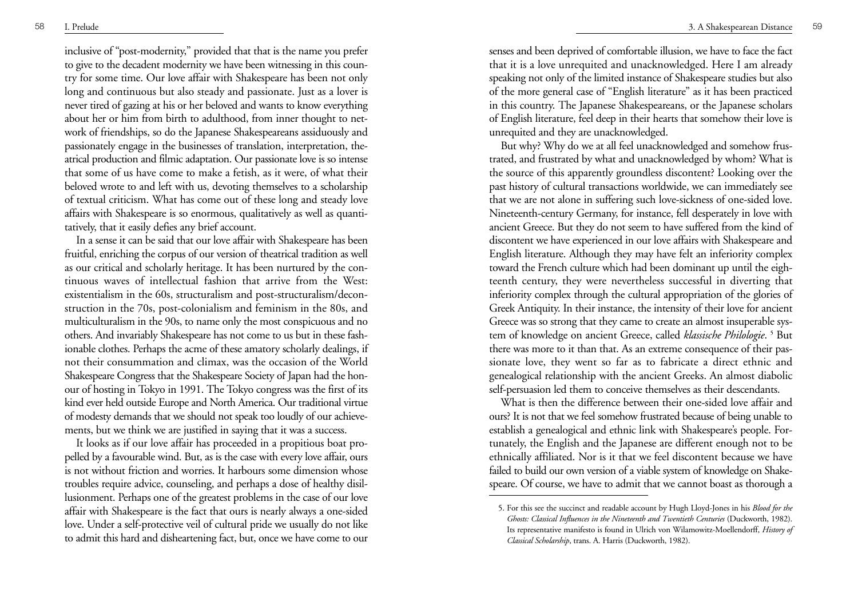inclusive of "post-modernity," provided that that is the name you prefer to give to the decadent modernity we have been witnessing in this country for some time. Our love affair with Shakespeare has been not only long and continuous but also steady and passionate. Just as a lover is never tired of gazing at his or her beloved and wants to know everything about her or him from birth to adulthood, from inner thought to network of friendships, so do the Japanese Shakespeareans assiduously and passionately engage in the businesses of translation, interpretation, theatrical production and filmic adaptation. Our passionate love is so intense that some of us have come to make a fetish, as it were, of what their beloved wrote to and left with us, devoting themselves to a scholarship of textual criticism. What has come out of these long and steady love affairs with Shakespeare is so enormous, qualitatively as well as quantitatively, that it easily defies any brief account.

In a sense it can be said that our love affair with Shakespeare has been fruitful, enriching the corpus of our version of theatrical tradition as well as our critical and scholarly heritage. It has been nurtured by the continuous waves of intellectual fashion that arrive from the West: existentialism in the 60s, structuralism and post-structuralism/deconstruction in the 70s, post-colonialism and feminism in the 80s, and multiculturalism in the 90s, to name only the most conspicuous and no others. And invariably Shakespeare has not come to us but in these fashionable clothes. Perhaps the acme of these amatory scholarly dealings, if not their consummation and climax, was the occasion of the World Shakespeare Congress that the Shakespeare Society of Japan had the honour of hosting in Tokyo in 1991. The Tokyo congress was the first of its kind ever held outside Europe and North America. Our traditional virtue of modesty demands that we should not speak too loudly of our achievements, but we think we are justified in saying that it was a success.

It looks as if our love affair has proceeded in a propitious boat propelled by a favourable wind. But, as is the case with every love affair, ours is not without friction and worries. It harbours some dimension whose troubles require advice, counseling, and perhaps a dose of healthy disillusionment. Perhaps one of the greatest problems in the case of our love affair with Shakespeare is the fact that ours is nearly always a one-sided love. Under a self-protective veil of cultural pride we usually do not like to admit this hard and disheartening fact, but, once we have come to our

senses and been deprived of comfortable illusion, we have to face the fact that it is a love unrequited and unacknowledged. Here I am already speaking not only of the limited instance of Shakespeare studies but also of the more general case of "English literature" as it has been practiced in this country. The Japanese Shakespeareans, or the Japanese scholars of English literature, feel deep in their hearts that somehow their love is unrequited and they are unacknowledged.

But why? Why do we at all feel unacknowledged and somehow frustrated, and frustrated by what and unacknowledged by whom? What is the source of this apparently groundless discontent? Looking over the past history of cultural transactions worldwide, we can immediately see that we are not alone in suffering such love-sickness of one-sided love. Nineteenth-century Germany, for instance, fell desperately in love with ancient Greece. But they do not seem to have suffered from the kind of discontent we have experienced in our love affairs with Shakespeare and English literature. Although they may have felt an inferiority complex toward the French culture which had been dominant up until the eighteenth century, they were nevertheless successful in diverting that inferiority complex through the cultural appropriation of the glories of Greek Antiquity. In their instance, the intensity of their love for ancient Greece was so strong that they came to create an almost insuperable system of knowledge on ancient Greece, called *klassische Philologie*. **<sup>5</sup>** But there was more to it than that. As an extreme consequence of their passionate love, they went so far as to fabricate a direct ethnic and genealogical relationship with the ancient Greeks. An almost diabolic self-persuasion led them to conceive themselves as their descendants.

What is then the difference between their one-sided love affair and ours? It is not that we feel somehow frustrated because of being unable to establish a genealogical and ethnic link with Shakespeare's people. Fortunately, the English and the Japanese are different enough not to be ethnically affiliated. Nor is it that we feel discontent because we have failed to build our own version of a viable system of knowledge on Shakespeare. Of course, we have to admit that we cannot boast as thorough a

<sup>5.</sup> For this see the succinct and readable account by Hugh Lloyd-Jones in his *Blood for the Ghosts: Classical Influences in the Nineteenth and Twentieth Centuries* (Duckworth, 1982). Its representative manifesto is found in Ulrich von Wilamowitz-Moellendorff, *History of Classical Scholarship*, trans. A. Harris (Duckworth, 1982).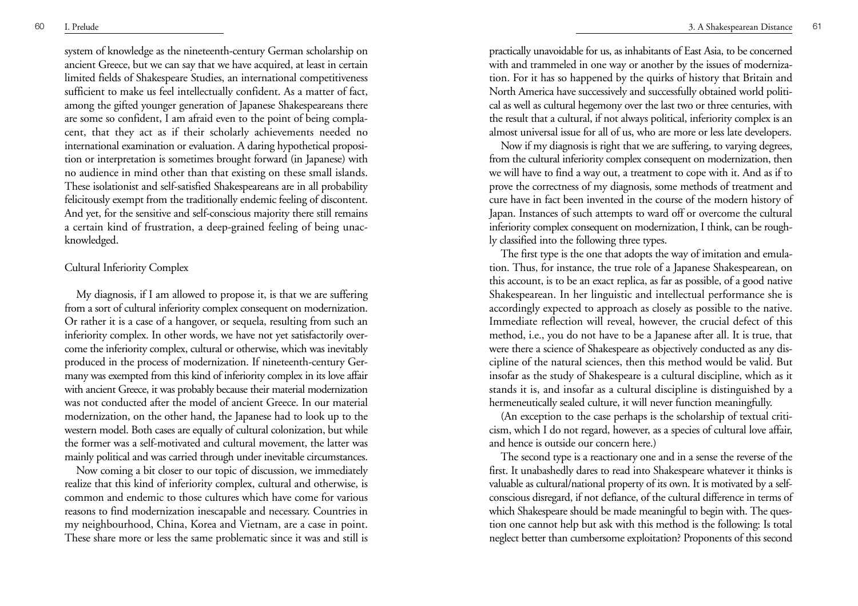system of knowledge as the nineteenth-century German scholarship on ancient Greece, but we can say that we have acquired, at least in certain limited fields of Shakespeare Studies, an international competitiveness sufficient to make us feel intellectually confident. As a matter of fact, among the gifted younger generation of Japanese Shakespeareans there are some so confident, I am afraid even to the point of being complacent, that they act as if their scholarly achievements needed no international examination or evaluation. A daring hypothetical proposition or interpretation is sometimes brought forward (in Japanese) with no audience in mind other than that existing on these small islands. These isolationist and self-satisfied Shakespeareans are in all probability felicitously exempt from the traditionally endemic feeling of discontent. And yet, for the sensitive and self-conscious majority there still remains a certain kind of frustration, a deep-grained feeling of being unacknowledged.

## Cultural Inferiority Complex

My diagnosis, if I am allowed to propose it, is that we are suffering from a sort of cultural inferiority complex consequent on modernization. Or rather it is a case of a hangover, or sequela, resulting from such an inferiority complex. In other words, we have not yet satisfactorily overcome the inferiority complex, cultural or otherwise, which was inevitably produced in the process of modernization. If nineteenth-century Germany was exempted from this kind of inferiority complex in its love affair with ancient Greece, it was probably because their material modernization was not conducted after the model of ancient Greece. In our material modernization, on the other hand, the Japanese had to look up to the western model. Both cases are equally of cultural colonization, but while the former was a self-motivated and cultural movement, the latter was mainly political and was carried through under inevitable circumstances.

Now coming a bit closer to our topic of discussion, we immediately realize that this kind of inferiority complex, cultural and otherwise, is common and endemic to those cultures which have come for various reasons to find modernization inescapable and necessary. Countries in my neighbourhood, China, Korea and Vietnam, are a case in point. These share more or less the same problematic since it was and still is practically unavoidable for us, as inhabitants of East Asia, to be concerned with and trammeled in one way or another by the issues of modernization. For it has so happened by the quirks of history that Britain and North America have successively and successfully obtained world political as well as cultural hegemony over the last two or three centuries, with the result that a cultural, if not always political, inferiority complex is an almost universal issue for all of us, who are more or less late developers.

Now if my diagnosis is right that we are suffering, to varying degrees, from the cultural inferiority complex consequent on modernization, then we will have to find a way out, a treatment to cope with it. And as if to prove the correctness of my diagnosis, some methods of treatment and cure have in fact been invented in the course of the modern history of Japan. Instances of such attempts to ward off or overcome the cultural inferiority complex consequent on modernization, I think, can be roughly classified into the following three types.

The first type is the one that adopts the way of imitation and emulation. Thus, for instance, the true role of a Japanese Shakespearean, on this account, is to be an exact replica, as far as possible, of a good native Shakespearean. In her linguistic and intellectual performance she is accordingly expected to approach as closely as possible to the native. Immediate reflection will reveal, however, the crucial defect of this method, i.e., you do not have to be a Japanese after all. It is true, that were there a science of Shakespeare as objectively conducted as any discipline of the natural sciences, then this method would be valid. But insofar as the study of Shakespeare is a cultural discipline, which as it stands it is, and insofar as a cultural discipline is distinguished by a hermeneutically sealed culture, it will never function meaningfully.

(An exception to the case perhaps is the scholarship of textual criticism, which I do not regard, however, as a species of cultural love affair, and hence is outside our concern here.)

The second type is a reactionary one and in a sense the reverse of the first. It unabashedly dares to read into Shakespeare whatever it thinks is valuable as cultural/national property of its own. It is motivated by a selfconscious disregard, if not defiance, of the cultural difference in terms of which Shakespeare should be made meaningful to begin with. The question one cannot help but ask with this method is the following: Is total neglect better than cumbersome exploitation? Proponents of this second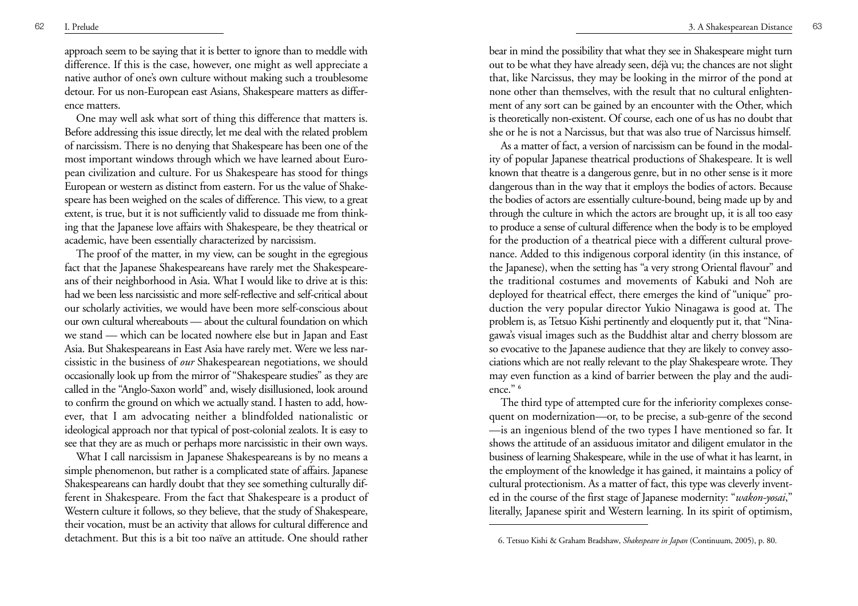approach seem to be saying that it is better to ignore than to meddle with difference. If this is the case, however, one might as well appreciate a native author of one's own culture without making such a troublesome detour. For us non-European east Asians, Shakespeare matters as difference matters.

One may well ask what sort of thing this difference that matters is. Before addressing this issue directly, let me deal with the related problem of narcissism. There is no denying that Shakespeare has been one of the most important windows through which we have learned about European civilization and culture. For us Shakespeare has stood for things European or western as distinct from eastern. For us the value of Shakespeare has been weighed on the scales of difference. This view, to a great extent, is true, but it is not sufficiently valid to dissuade me from thinking that the Japanese love affairs with Shakespeare, be they theatrical or academic, have been essentially characterized by narcissism.

The proof of the matter, in my view, can be sought in the egregious fact that the Japanese Shakespeareans have rarely met the Shakespeareans of their neighborhood in Asia. What I would like to drive at is this: had we been less narcissistic and more self-reflective and self-critical about our scholarly activities, we would have been more self-conscious about our own cultural whereabouts — about the cultural foundation on which we stand — which can be located nowhere else but in Japan and East Asia. But Shakespeareans in East Asia have rarely met. Were we less narcissistic in the business of *our* Shakespearean negotiations, we should occasionally look up from the mirror of "Shakespeare studies" as they are called in the "Anglo-Saxon world" and, wisely disillusioned, look around to confirm the ground on which we actually stand. I hasten to add, however, that I am advocating neither a blindfolded nationalistic or ideological approach nor that typical of post-colonial zealots. It is easy to see that they are as much or perhaps more narcissistic in their own ways.

What I call narcissism in Japanese Shakespeareans is by no means a simple phenomenon, but rather is a complicated state of affairs. Japanese Shakespeareans can hardly doubt that they see something culturally different in Shakespeare. From the fact that Shakespeare is a product of Western culture it follows, so they believe, that the study of Shakespeare, their vocation, must be an activity that allows for cultural difference and detachment. But this is a bit too naïve an attitude. One should rather

bear in mind the possibility that what they see in Shakespeare might turn out to be what they have already seen, déjà vu; the chances are not slight that, like Narcissus, they may be looking in the mirror of the pond at none other than themselves, with the result that no cultural enlightenment of any sort can be gained by an encounter with the Other, which is theoretically non-existent. Of course, each one of us has no doubt that she or he is not a Narcissus, but that was also true of Narcissus himself.

As a matter of fact, a version of narcissism can be found in the modality of popular Japanese theatrical productions of Shakespeare. It is well known that theatre is a dangerous genre, but in no other sense is it more dangerous than in the way that it employs the bodies of actors. Because the bodies of actors are essentially culture-bound, being made up by and through the culture in which the actors are brought up, it is all too easy to produce a sense of cultural difference when the body is to be employed for the production of a theatrical piece with a different cultural provenance. Added to this indigenous corporal identity (in this instance, of the Japanese), when the setting has "a very strong Oriental flavour" and the traditional costumes and movements of Kabuki and Noh are deployed for theatrical effect, there emerges the kind of "unique" production the very popular director Yukio Ninagawa is good at. The problem is, as Tetsuo Kishi pertinently and eloquently put it, that "Ninagawa's visual images such as the Buddhist altar and cherry blossom are so evocative to the Japanese audience that they are likely to convey associations which are not really relevant to the play Shakespeare wrote. They may even function as a kind of barrier between the play and the audience." **<sup>6</sup>**

The third type of attempted cure for the inferiority complexes consequent on modernization—or, to be precise, a sub-genre of the second —is an ingenious blend of the two types I have mentioned so far. It shows the attitude of an assiduous imitator and diligent emulator in the business of learning Shakespeare, while in the use of what it has learnt, in the employment of the knowledge it has gained, it maintains a policy of cultural protectionism. As a matter of fact, this type was cleverly invented in the course of the first stage of Japanese modernity: "*wakon-yosai*," literally, Japanese spirit and Western learning. In its spirit of optimism,

<sup>6.</sup> Tetsuo Kishi & Graham Bradshaw, *Shakespeare in Japan* (Continuum, 2005), p. 80.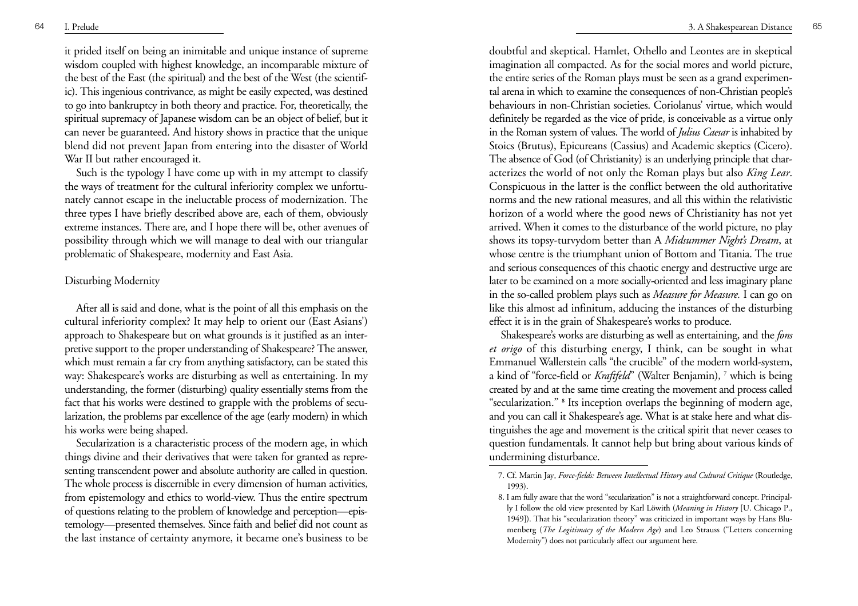it prided itself on being an inimitable and unique instance of supreme wisdom coupled with highest knowledge, an incomparable mixture of the best of the East (the spiritual) and the best of the West (the scientific). This ingenious contrivance, as might be easily expected, was destined to go into bankruptcy in both theory and practice. For, theoretically, the spiritual supremacy of Japanese wisdom can be an object of belief, but it can never be guaranteed. And history shows in practice that the unique blend did not prevent Japan from entering into the disaster of World War II but rather encouraged it.

Such is the typology I have come up with in my attempt to classify the ways of treatment for the cultural inferiority complex we unfortunately cannot escape in the ineluctable process of modernization. The three types I have briefly described above are, each of them, obviously extreme instances. There are, and I hope there will be, other avenues of possibility through which we will manage to deal with our triangular problematic of Shakespeare, modernity and East Asia.

## Disturbing Modernity

After all is said and done, what is the point of all this emphasis on the cultural inferiority complex? It may help to orient our (East Asians') approach to Shakespeare but on what grounds is it justified as an interpretive support to the proper understanding of Shakespeare? The answer, which must remain a far cry from anything satisfactory, can be stated this way: Shakespeare's works are disturbing as well as entertaining. In my understanding, the former (disturbing) quality essentially stems from the fact that his works were destined to grapple with the problems of secularization, the problems par excellence of the age (early modern) in which his works were being shaped.

Secularization is a characteristic process of the modern age, in which things divine and their derivatives that were taken for granted as representing transcendent power and absolute authority are called in question. The whole process is discernible in every dimension of human activities, from epistemology and ethics to world-view. Thus the entire spectrum of questions relating to the problem of knowledge and perception—epistemology—presented themselves. Since faith and belief did not count as the last instance of certainty anymore, it became one's business to be doubtful and skeptical. Hamlet, Othello and Leontes are in skeptical imagination all compacted. As for the social mores and world picture, the entire series of the Roman plays must be seen as a grand experimental arena in which to examine the consequences of non-Christian people's behaviours in non-Christian societies. Coriolanus' virtue, which would definitely be regarded as the vice of pride, is conceivable as a virtue only in the Roman system of values. The world of *Julius Caesar* is inhabited by Stoics (Brutus), Epicureans (Cassius) and Academic skeptics (Cicero). The absence of God (of Christianity) is an underlying principle that characterizes the world of not only the Roman plays but also *King Lear*. Conspicuous in the latter is the conflict between the old authoritative norms and the new rational measures, and all this within the relativistic horizon of a world where the good news of Christianity has not yet arrived. When it comes to the disturbance of the world picture, no play shows its topsy-turvydom better than A *Midsummer Night's Dream*, at whose centre is the triumphant union of Bottom and Titania. The true and serious consequences of this chaotic energy and destructive urge are later to be examined on a more socially-oriented and less imaginary plane in the so-called problem plays such as *Measure for Measure.* I can go on like this almost ad infinitum, adducing the instances of the disturbing effect it is in the grain of Shakespeare's works to produce.

Shakespeare's works are disturbing as well as entertaining, and the *fons et origo* of this disturbing energy, I think, can be sought in what Emmanuel Wallerstein calls "the crucible" of the modern world-system, a kind of "force-field or *Kraftfeld*" (Walter Benjamin), **<sup>7</sup>** which is being created by and at the same time creating the movement and process called "secularization." **<sup>8</sup>** Its inception overlaps the beginning of modern age, and you can call it Shakespeare's age. What is at stake here and what distinguishes the age and movement is the critical spirit that never ceases to question fundamentals. It cannot help but bring about various kinds of undermining disturbance.

<sup>7.</sup> Cf. Martin Jay, *Force-fields: Between Intellectual History and Cultural Critique* (Routledge, 1993).

<sup>8.</sup> I am fully aware that the word "secularization" is not a straightforward concept. Principally I follow the old view presented by Karl Löwith (*Meaning in History* [U. Chicago P., 1949]). That his "secularization theory" was criticized in important ways by Hans Blumenberg (*The Legitimacy of the Modern Age*) and Leo Strauss ("Letters concerning Modernity") does not particularly affect our argument here.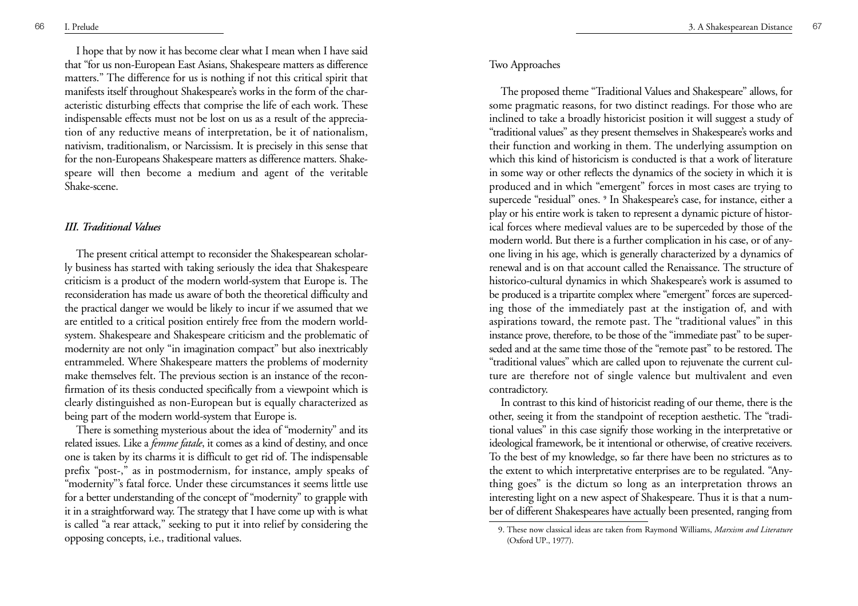I hope that by now it has become clear what I mean when I have said that "for us non-European East Asians, Shakespeare matters as difference matters." The difference for us is nothing if not this critical spirit that manifests itself throughout Shakespeare's works in the form of the characteristic disturbing effects that comprise the life of each work. These indispensable effects must not be lost on us as a result of the appreciation of any reductive means of interpretation, be it of nationalism, nativism, traditionalism, or Narcissism. It is precisely in this sense that for the non-Europeans Shakespeare matters as difference matters. Shakespeare will then become a medium and agent of the veritable Shake-scene.

#### *III. Traditional Values*

The present critical attempt to reconsider the Shakespearean scholarly business has started with taking seriously the idea that Shakespeare criticism is a product of the modern world-system that Europe is. The reconsideration has made us aware of both the theoretical difficulty and the practical danger we would be likely to incur if we assumed that we are entitled to a critical position entirely free from the modern worldsystem. Shakespeare and Shakespeare criticism and the problematic of modernity are not only "in imagination compact" but also inextricably entrammeled. Where Shakespeare matters the problems of modernity make themselves felt. The previous section is an instance of the reconfirmation of its thesis conducted specifically from a viewpoint which is clearly distinguished as non-European but is equally characterized as being part of the modern world-system that Europe is.

There is something mysterious about the idea of "modernity" and its related issues. Like a *femme fatale*, it comes as a kind of destiny, and once one is taken by its charms it is difficult to get rid of. The indispensable prefix "post-," as in postmodernism, for instance, amply speaks of "modernity"'s fatal force. Under these circumstances it seems little use for a better understanding of the concept of "modernity" to grapple with it in a straightforward way. The strategy that I have come up with is what is called "a rear attack," seeking to put it into relief by considering the opposing concepts, i.e., traditional values.

#### Two Approaches

The proposed theme "Traditional Values and Shakespeare" allows, for some pragmatic reasons, for two distinct readings. For those who are inclined to take a broadly historicist position it will suggest a study of "traditional values" as they present themselves in Shakespeare's works and their function and working in them. The underlying assumption on which this kind of historicism is conducted is that a work of literature in some way or other reflects the dynamics of the society in which it is produced and in which "emergent" forces in most cases are trying to supercede "residual" ones. **<sup>9</sup>** In Shakespeare's case, for instance, either a play or his entire work is taken to represent a dynamic picture of historical forces where medieval values are to be superceded by those of the modern world. But there is a further complication in his case, or of anyone living in his age, which is generally characterized by a dynamics of renewal and is on that account called the Renaissance. The structure of historico-cultural dynamics in which Shakespeare's work is assumed to be produced is a tripartite complex where "emergent" forces are superceding those of the immediately past at the instigation of, and with aspirations toward, the remote past. The "traditional values" in this instance prove, therefore, to be those of the "immediate past" to be superseded and at the same time those of the "remote past" to be restored. The "traditional values" which are called upon to rejuvenate the current culture are therefore not of single valence but multivalent and even contradictory.

In contrast to this kind of historicist reading of our theme, there is the other, seeing it from the standpoint of reception aesthetic. The "traditional values" in this case signify those working in the interpretative or ideological framework, be it intentional or otherwise, of creative receivers. To the best of my knowledge, so far there have been no strictures as to the extent to which interpretative enterprises are to be regulated. "Anything goes" is the dictum so long as an interpretation throws an interesting light on a new aspect of Shakespeare. Thus it is that a number of different Shakespeares have actually been presented, ranging from

<sup>9.</sup> These now classical ideas are taken from Raymond Williams, *Marxism and Literature* (Oxford UP., 1977).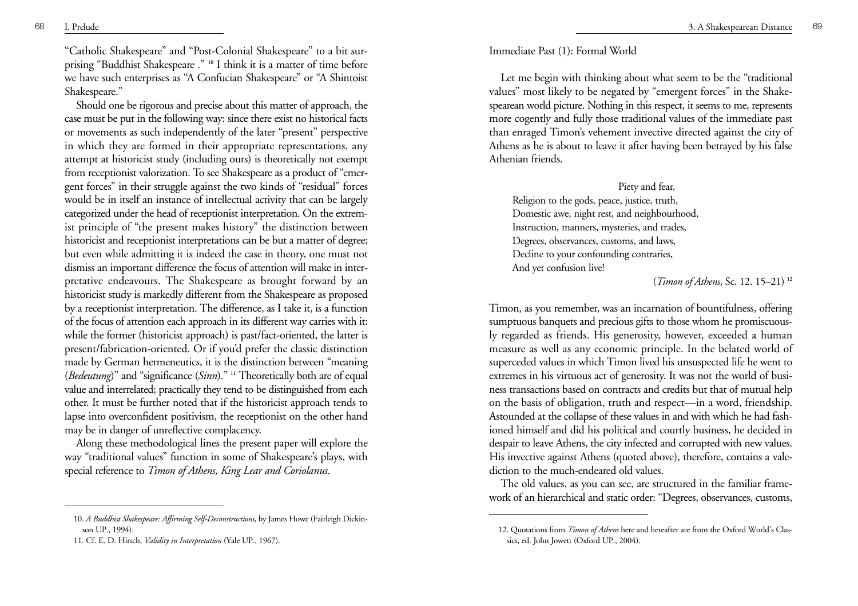"Catholic Shakespeare" and "Post-Colonial Shakespeare" to a bit surprising "Buddhist Shakespeare ." **<sup>10</sup>** I think it is a matter of time before we have such enterprises as "A Confucian Shakespeare" or "A Shintoist Shakespeare."

Should one be rigorous and precise about this matter of approach, the case must be put in the following way: since there exist no historical facts or movements as such independently of the later "present" perspective in which they are formed in their appropriate representations, any attempt at historicist study (including ours) is theoretically not exempt from receptionist valorization. To see Shakespeare as a product of "emergent forces" in their struggle against the two kinds of "residual" forces would be in itself an instance of intellectual activity that can be largely categorized under the head of receptionist interpretation. On the extremist principle of "the present makes history" the distinction between historicist and receptionist interpretations can be but a matter of degree; but even while admitting it is indeed the case in theory, one must not dismiss an important difference the focus of attention will make in interpretative endeavours. The Shakespeare as brought forward by an historicist study is markedly different from the Shakespeare as proposed by a receptionist interpretation. The difference, as I take it, is a function of the focus of attention each approach in its different way carries with it: while the former (historicist approach) is past/fact-oriented, the latter is present/fabrication-oriented. Or if you'd prefer the classic distinction made by German hermeneutics, it is the distinction between "meaning (*Bedeutung*)" and "significance ( *Sinn*)." **<sup>11</sup>** Theoretically both are of equal value and interrelated; practically they tend to be distinguished from each other. It must be further noted that if the historicist approach tends to lapse into overconfident positivism, the receptionist on the other hand may be in danger of unreflective complacency.

Along these methodological lines the present paper will explore the way "traditional values" function in some of Shakespeare's plays, with special reference to *Timon of Athens, King Lear and Coriolanus*.

#### Immediate Past (1): Formal World

Let me begin with thinking about what seem to be the "traditional values" most likely to be negated by "emergent forces" in the Shakespearean world picture. Nothing in this respect, it seems to me, represents more cogently and fully those traditional values of the immediate past than enraged Timon's vehement invective directed against the city of Athens as he is about to leave it after having been betrayed by his false Athenian friends.

#### Piety and fear,

Religion to the gods, peace, justice, truth, Domestic awe, night rest, and neighbourhood, Instruction, manners, mysteries, and trades, Degrees, observances, customs, and laws, Decline to your confounding contraries, And yet confusion live!

(*Timon of Athens*, Sc. 12. 15–21) **<sup>12</sup>**

Timon, as you remember, was an incarnation of bountifulness, offering sumptuous banquets and precious gifts to those whom he promiscuously regarded as friends. His generosity, however, exceeded a human measure as well as any economic principle. In the belated world of superceded values in which Timon lived his unsuspected life he went to extremes in his virtuous act of generosity. It was not the world of business transactions based on contracts and credits but that of mutual help on the basis of obligation, truth and respect—in a word, friendship. Astounded at the collapse of these values in and with which he had fashioned himself and did his political and courtly business, he decided in despair to leave Athens, the city infected and corrupted with new values. His invective against Athens (quoted above), therefore, contains a valediction to the much-endeared old values.

The old values, as you can see, are structured in the familiar framework of an hierarchical and static order: "Degrees, observances, customs,

<sup>10.</sup> *A Buddhist Shakespeare: Affirming Self-Deconstructions*, by James Howe (Fairleigh Dickinson UP., 1994).

<sup>11.</sup> Cf. E. D. Hirsch, *Validity in Interpretation* (Yale UP., 1967).

<sup>12.</sup> Quotations from *Timon of Athens* here and hereafter are from the Oxford World's Classics, ed. John Jowett (Oxford UP., 2004).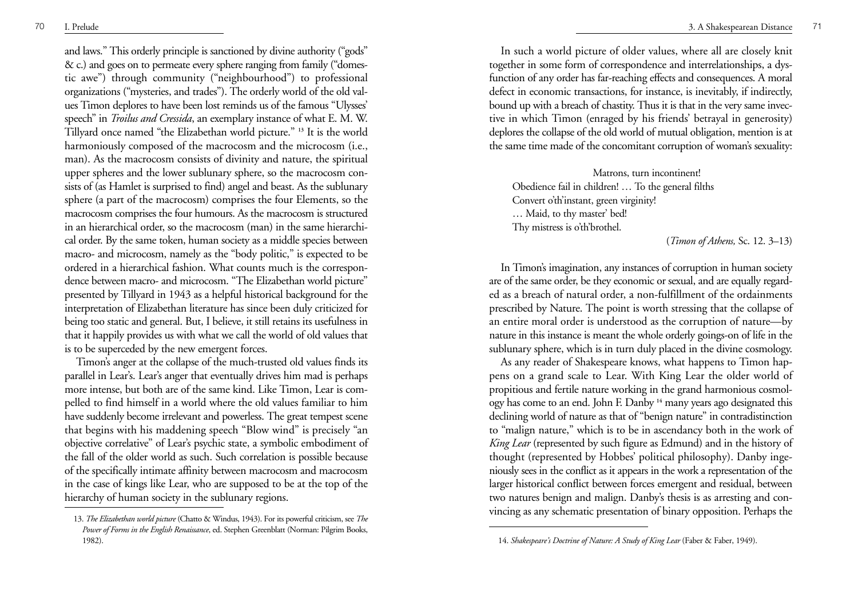and laws." This orderly principle is sanctioned by divine authority ("gods" & c.) and goes on to permeate every sphere ranging from family ("domestic awe") through community ("neighbourhood") to professional organizations ("mysteries, and trades"). The orderly world of the old values Timon deplores to have been lost reminds us of the famous "Ulysses' speech" in *Troilus and Cressida*, an exemplary instance of what E. M. W. Tillyard once named "the Elizabethan world picture." **<sup>13</sup>** It is the world harmoniously composed of the macrocosm and the microcosm (i.e., man). As the macrocosm consists of divinity and nature, the spiritual upper spheres and the lower sublunary sphere, so the macrocosm consists of (as Hamlet is surprised to find) angel and beast. As the sublunary sphere (a part of the macrocosm) comprises the four Elements, so the macrocosm comprises the four humours. As the macrocosm is structured in an hierarchical order, so the macrocosm (man) in the same hierarchical order. By the same token, human society as a middle species between macro- and microcosm, namely as the "body politic," is expected to be ordered in a hierarchical fashion. What counts much is the correspondence between macro- and microcosm. "The Elizabethan world picture" presented by Tillyard in 1943 as a helpful historical background for the interpretation of Elizabethan literature has since been duly criticized for being too static and general. But, I believe, it still retains its usefulness in that it happily provides us with what we call the world of old values that is to be superceded by the new emergent forces.

Timon's anger at the collapse of the much-trusted old values finds its parallel in Lear's. Lear's anger that eventually drives him mad is perhaps more intense, but both are of the same kind. Like Timon, Lear is compelled to find himself in a world where the old values familiar to him have suddenly become irrelevant and powerless. The great tempest scene that begins with his maddening speech "Blow wind" is precisely "an objective correlative" of Lear's psychic state, a symbolic embodiment of the fall of the older world as such. Such correlation is possible because of the specifically intimate affinity between macrocosm and macrocosm in the case of kings like Lear, who are supposed to be at the top of the hierarchy of human society in the sublunary regions.

<sup>70</sup> I. Prelude 3. A Shakespearean Distance <sup>71</sup>

In such a world picture of older values, where all are closely knit together in some form of correspondence and interrelationships, a dysfunction of any order has far-reaching effects and consequences. A moral defect in economic transactions, for instance, is inevitably, if indirectly, bound up with a breach of chastity. Thus it is that in the very same invective in which Timon (enraged by his friends' betrayal in generosity) deplores the collapse of the old world of mutual obligation, mention is at the same time made of the concomitant corruption of woman's sexuality:

Matrons, turn incontinent! Obedience fail in children! … To the general filths Convert o'th'instant, green virginity! … Maid, to thy master' bed! Thy mistress is o'th'brothel.

(*Timon of Athens,* Sc. 12. 3–13)

In Timon's imagination, any instances of corruption in human society are of the same order, be they economic or sexual, and are equally regarded as a breach of natural order, a non-fulfillment of the ordainments prescribed by Nature. The point is worth stressing that the collapse of an entire moral order is understood as the corruption of nature—by nature in this instance is meant the whole orderly goings-on of life in the sublunary sphere, which is in turn duly placed in the divine cosmology.

As any reader of Shakespeare knows, what happens to Timon happens on a grand scale to Lear. With King Lear the older world of propitious and fertile nature working in the grand harmonious cosmology has come to an end. John F. Danby **<sup>14</sup>** many years ago designated this declining world of nature as that of "benign nature" in contradistinction to "malign nature," which is to be in ascendancy both in the work of *King Lear* (represented by such figure as Edmund) and in the history of thought (represented by Hobbes' political philosophy). Danby ingeniously sees in the conflict as it appears in the work a representation of the larger historical conflict between forces emergent and residual, between two natures benign and malign. Danby's thesis is as arresting and convincing as any schematic presentation of binary opposition. Perhaps the

<sup>13.</sup> *The Elizabethan world picture* (Chatto & Windus, 1943). For its powerful criticism, see *The Power of Forms in the English Renaissance*, ed. Stephen Greenblatt (Norman: Pilgrim Books, 1982). 14. *Shakespeare's Doctrine of Nature: A Study of King Lear* (Faber & Faber, 1949).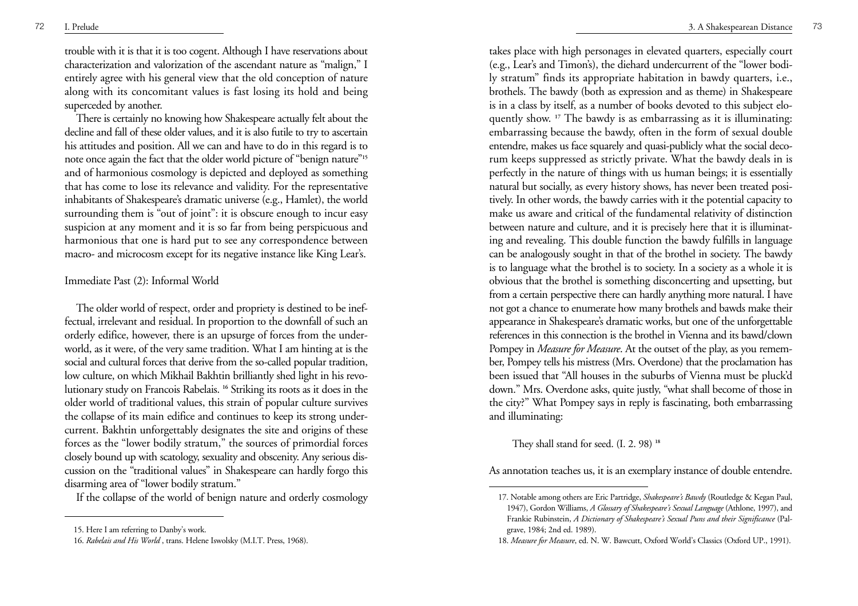trouble with it is that it is too cogent. Although I have reservations about characterization and valorization of the ascendant nature as "malign," I entirely agree with his general view that the old conception of nature along with its concomitant values is fast losing its hold and being superceded by another.

There is certainly no knowing how Shakespeare actually felt about the decline and fall of these older values, and it is also futile to try to ascertain his attitudes and position. All we can and have to do in this regard is to note once again the fact that the older world picture of "benign nature"**<sup>15</sup>** and of harmonious cosmology is depicted and deployed as something that has come to lose its relevance and validity. For the representative inhabitants of Shakespeare's dramatic universe (e.g., Hamlet), the world surrounding them is "out of joint": it is obscure enough to incur easy suspicion at any moment and it is so far from being perspicuous and harmonious that one is hard put to see any correspondence between macro- and microcosm except for its negative instance like King Lear's.

# Immediate Past (2): Informal World

The older world of respect, order and propriety is destined to be ineffectual, irrelevant and residual. In proportion to the downfall of such an orderly edifice, however, there is an upsurge of forces from the underworld, as it were, of the very same tradition. What I am hinting at is the social and cultural forces that derive from the so-called popular tradition, low culture, on which Mikhail Bakhtin brilliantly shed light in his revolutionary study on Francois Rabelais. **<sup>16</sup>** Striking its roots as it does in the older world of traditional values, this strain of popular culture survives the collapse of its main edifice and continues to keep its strong undercurrent. Bakhtin unforgettably designates the site and origins of these forces as the "lower bodily stratum," the sources of primordial forces closely bound up with scatology, sexuality and obscenity. Any serious discussion on the "traditional values" in Shakespeare can hardly forgo this disarming area of "lower bodily stratum."

If the collapse of the world of benign nature and orderly cosmology

takes place with high personages in elevated quarters, especially court (e.g., Lear's and Timon's), the diehard undercurrent of the "lower bodily stratum" finds its appropriate habitation in bawdy quarters, i.e., brothels. The bawdy (both as expression and as theme) in Shakespeare is in a class by itself, as a number of books devoted to this subject eloquently show. **<sup>17</sup>** The bawdy is as embarrassing as it is illuminating: embarrassing because the bawdy, often in the form of sexual double entendre, makes us face squarely and quasi-publicly what the social decorum keeps suppressed as strictly private. What the bawdy deals in is perfectly in the nature of things with us human beings; it is essentially natural but socially, as every history shows, has never been treated positively. In other words, the bawdy carries with it the potential capacity to make us aware and critical of the fundamental relativity of distinction between nature and culture, and it is precisely here that it is illuminating and revealing. This double function the bawdy fulfills in language can be analogously sought in that of the brothel in society. The bawdy is to language what the brothel is to society. In a society as a whole it is obvious that the brothel is something disconcerting and upsetting, but from a certain perspective there can hardly anything more natural. I have not got a chance to enumerate how many brothels and bawds make their appearance in Shakespeare's dramatic works, but one of the unforgettable references in this connection is the brothel in Vienna and its bawd/clown Pompey in *Measure for Measure*. At the outset of the play, as you remember, Pompey tells his mistress (Mrs. Overdone) that the proclamation has been issued that "All houses in the suburbs of Vienna must be pluck'd down." Mrs. Overdone asks, quite justly, "what shall become of those in the city?" What Pompey says in reply is fascinating, both embarrassing and illuminating:

They shall stand for seed. (I. 2. 98) **<sup>18</sup>**

As annotation teaches us, it is an exemplary instance of double entendre.

<sup>15.</sup> Here I am referring to Danby's work.

<sup>16.</sup> *Rabelais and His World* , trans. Helene Iswolsky (M.I.T. Press, 1968).

<sup>17.</sup> Notable among others are Eric Partridge, *Shakespeare's Bawdy* (Routledge & Kegan Paul, 1947), Gordon Williams, *A Glossary of Shakespeare's Sexual Language* (Athlone, 1997), and Frankie Rubinstein, *A Dictionary of Shakespeare's Sexual Puns and their Significance* (Palgrave, 1984; 2nd ed. 1989).

<sup>18.</sup> *Measure for Measure*, ed. N. W. Bawcutt, Oxford World's Classics (Oxford UP., 1991).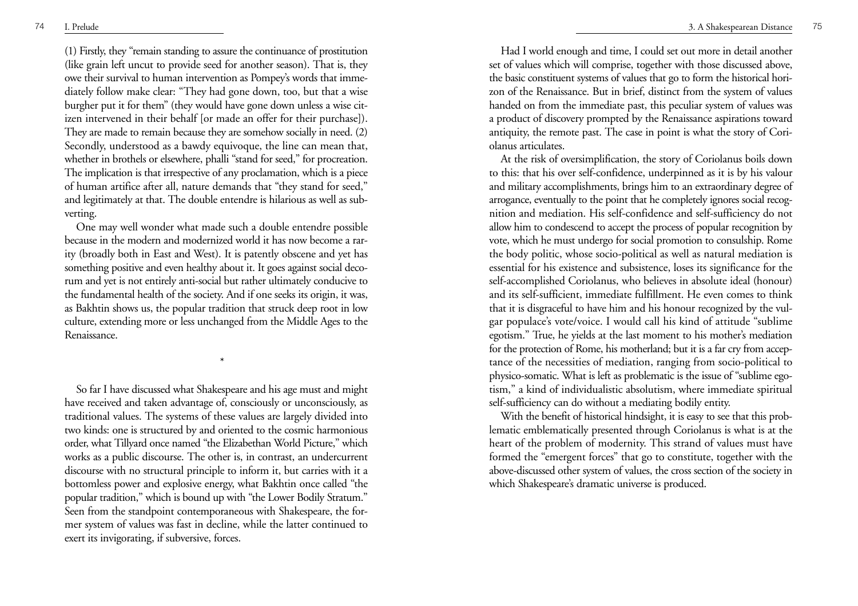(1) Firstly, they "remain standing to assure the continuance of prostitution (like grain left uncut to provide seed for another season). That is, they owe their survival to human intervention as Pompey's words that immediately follow make clear: "They had gone down, too, but that a wise burgher put it for them" (they would have gone down unless a wise citizen intervened in their behalf [or made an offer for their purchase]). They are made to remain because they are somehow socially in need. (2) Secondly, understood as a bawdy equivoque, the line can mean that, whether in brothels or elsewhere, phalli "stand for seed," for procreation. The implication is that irrespective of any proclamation, which is a piece of human artifice after all, nature demands that "they stand for seed," and legitimately at that. The double entendre is hilarious as well as subverting.

One may well wonder what made such a double entendre possible because in the modern and modernized world it has now become a rarity (broadly both in East and West). It is patently obscene and yet has something positive and even healthy about it. It goes against social decorum and yet is not entirely anti-social but rather ultimately conducive to the fundamental health of the society. And if one seeks its origin, it was, as Bakhtin shows us, the popular tradition that struck deep root in low culture, extending more or less unchanged from the Middle Ages to the Renaissance.

\*

So far I have discussed what Shakespeare and his age must and might have received and taken advantage of, consciously or unconsciously, as traditional values. The systems of these values are largely divided into two kinds: one is structured by and oriented to the cosmic harmonious order, what Tillyard once named "the Elizabethan World Picture," which works as a public discourse. The other is, in contrast, an undercurrent discourse with no structural principle to inform it, but carries with it a bottomless power and explosive energy, what Bakhtin once called "the popular tradition," which is bound up with "the Lower Bodily Stratum." Seen from the standpoint contemporaneous with Shakespeare, the former system of values was fast in decline, while the latter continued to exert its invigorating, if subversive, forces.

Had I world enough and time, I could set out more in detail another set of values which will comprise, together with those discussed above, the basic constituent systems of values that go to form the historical horizon of the Renaissance. But in brief, distinct from the system of values handed on from the immediate past, this peculiar system of values was a product of discovery prompted by the Renaissance aspirations toward antiquity, the remote past. The case in point is what the story of Coriolanus articulates.

At the risk of oversimplification, the story of Coriolanus boils down to this: that his over self-confidence, underpinned as it is by his valour and military accomplishments, brings him to an extraordinary degree of arrogance, eventually to the point that he completely ignores social recognition and mediation. His self-confidence and self-sufficiency do not allow him to condescend to accept the process of popular recognition by vote, which he must undergo for social promotion to consulship. Rome the body politic, whose socio-political as well as natural mediation is essential for his existence and subsistence, loses its significance for the self-accomplished Coriolanus, who believes in absolute ideal (honour) and its self-sufficient, immediate fulfillment. He even comes to think that it is disgraceful to have him and his honour recognized by the vulgar populace's vote/voice. I would call his kind of attitude "sublime egotism." True, he yields at the last moment to his mother's mediation for the protection of Rome, his motherland; but it is a far cry from acceptance of the necessities of mediation, ranging from socio-political to physico-somatic. What is left as problematic is the issue of "sublime egotism," a kind of individualistic absolutism, where immediate spiritual self-sufficiency can do without a mediating bodily entity.

With the benefit of historical hindsight, it is easy to see that this problematic emblematically presented through Coriolanus is what is at the heart of the problem of modernity. This strand of values must have formed the "emergent forces" that go to constitute, together with the above-discussed other system of values, the cross section of the society in which Shakespeare's dramatic universe is produced.